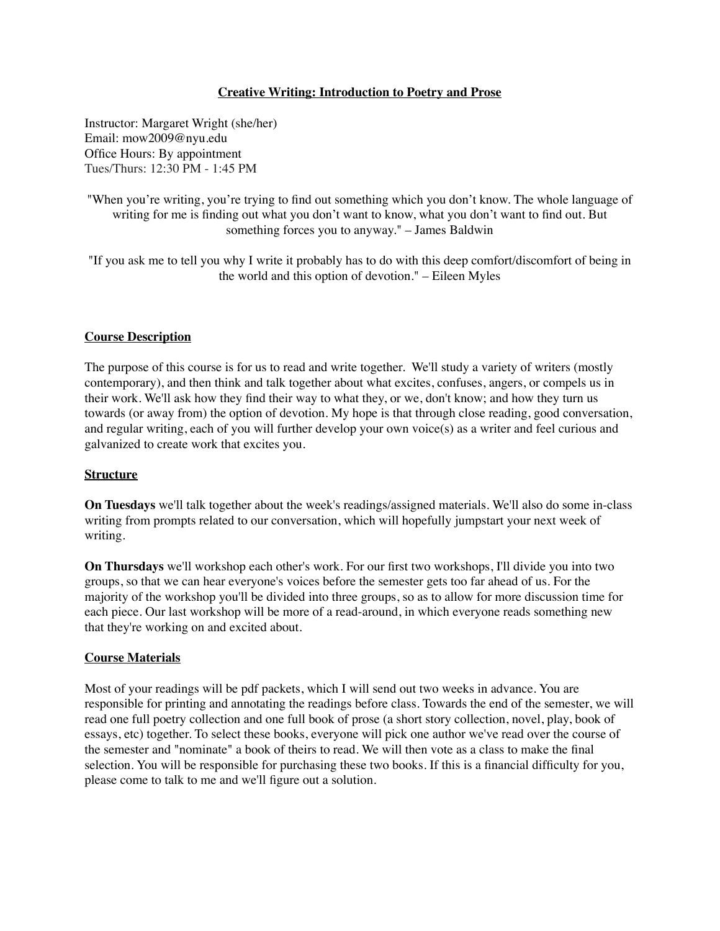# **Creative Writing: Introduction to Poetry and Prose**

Instructor: Margaret Wright (she/her) Email: mow2009@nyu.edu Office Hours: By appointment Tues/Thurs: 12:30 PM - 1:45 PM

"When you're writing, you're trying to find out something which you don't know. The whole language of writing for me is finding out what you don't want to know, what you don't want to find out. But something forces you to anyway." – James Baldwin

"If you ask me to tell you why I write it probably has to do with this deep comfort/discomfort of being in the world and this option of devotion." – Eileen Myles

## **Course Description**

The purpose of this course is for us to read and write together. We'll study a variety of writers (mostly contemporary), and then think and talk together about what excites, confuses, angers, or compels us in their work. We'll ask how they find their way to what they, or we, don't know; and how they turn us towards (or away from) the option of devotion. My hope is that through close reading, good conversation, and regular writing, each of you will further develop your own voice(s) as a writer and feel curious and galvanized to create work that excites you.

## **Structure**

**On Tuesdays** we'll talk together about the week's readings/assigned materials. We'll also do some in-class writing from prompts related to our conversation, which will hopefully jumpstart your next week of writing.

**On Thursdays** we'll workshop each other's work. For our first two workshops, I'll divide you into two groups, so that we can hear everyone's voices before the semester gets too far ahead of us. For the majority of the workshop you'll be divided into three groups, so as to allow for more discussion time for each piece. Our last workshop will be more of a read-around, in which everyone reads something new that they're working on and excited about.

# **Course Materials**

Most of your readings will be pdf packets, which I will send out two weeks in advance. You are responsible for printing and annotating the readings before class. Towards the end of the semester, we will read one full poetry collection and one full book of prose (a short story collection, novel, play, book of essays, etc) together. To select these books, everyone will pick one author we've read over the course of the semester and "nominate" a book of theirs to read. We will then vote as a class to make the final selection. You will be responsible for purchasing these two books. If this is a financial difficulty for you, please come to talk to me and we'll figure out a solution.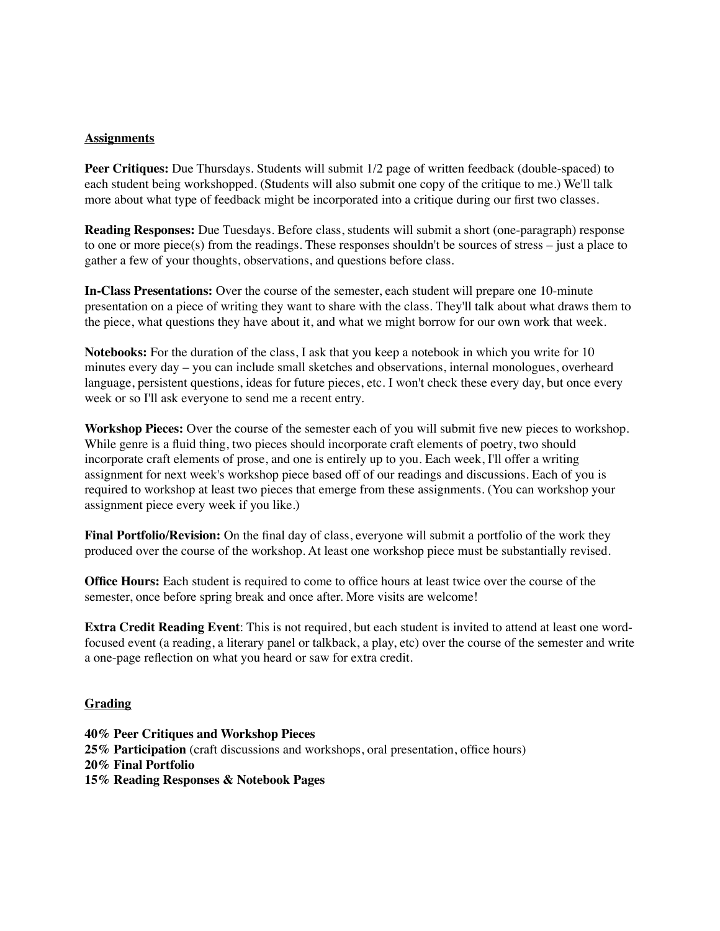# **Assignments**

**Peer Critiques:** Due Thursdays. Students will submit 1/2 page of written feedback (double-spaced) to each student being workshopped. (Students will also submit one copy of the critique to me.) We'll talk more about what type of feedback might be incorporated into a critique during our first two classes.

**Reading Responses:** Due Tuesdays. Before class, students will submit a short (one-paragraph) response to one or more piece(s) from the readings. These responses shouldn't be sources of stress – just a place to gather a few of your thoughts, observations, and questions before class.

**In-Class Presentations:** Over the course of the semester, each student will prepare one 10-minute presentation on a piece of writing they want to share with the class. They'll talk about what draws them to the piece, what questions they have about it, and what we might borrow for our own work that week.

**Notebooks:** For the duration of the class, I ask that you keep a notebook in which you write for 10 minutes every day – you can include small sketches and observations, internal monologues, overheard language, persistent questions, ideas for future pieces, etc. I won't check these every day, but once every week or so I'll ask everyone to send me a recent entry.

**Workshop Pieces:** Over the course of the semester each of you will submit five new pieces to workshop. While genre is a fluid thing, two pieces should incorporate craft elements of poetry, two should incorporate craft elements of prose, and one is entirely up to you. Each week, I'll offer a writing assignment for next week's workshop piece based off of our readings and discussions. Each of you is required to workshop at least two pieces that emerge from these assignments. (You can workshop your assignment piece every week if you like.)

**Final Portfolio/Revision:** On the final day of class, everyone will submit a portfolio of the work they produced over the course of the workshop. At least one workshop piece must be substantially revised.

**Office Hours:** Each student is required to come to office hours at least twice over the course of the semester, once before spring break and once after. More visits are welcome!

**Extra Credit Reading Event**: This is not required, but each student is invited to attend at least one wordfocused event (a reading, a literary panel or talkback, a play, etc) over the course of the semester and write a one-page reflection on what you heard or saw for extra credit.

## **Grading**

**40% Peer Critiques and Workshop Pieces 25% Participation** (craft discussions and workshops, oral presentation, office hours) **20% Final Portfolio 15% Reading Responses & Notebook Pages**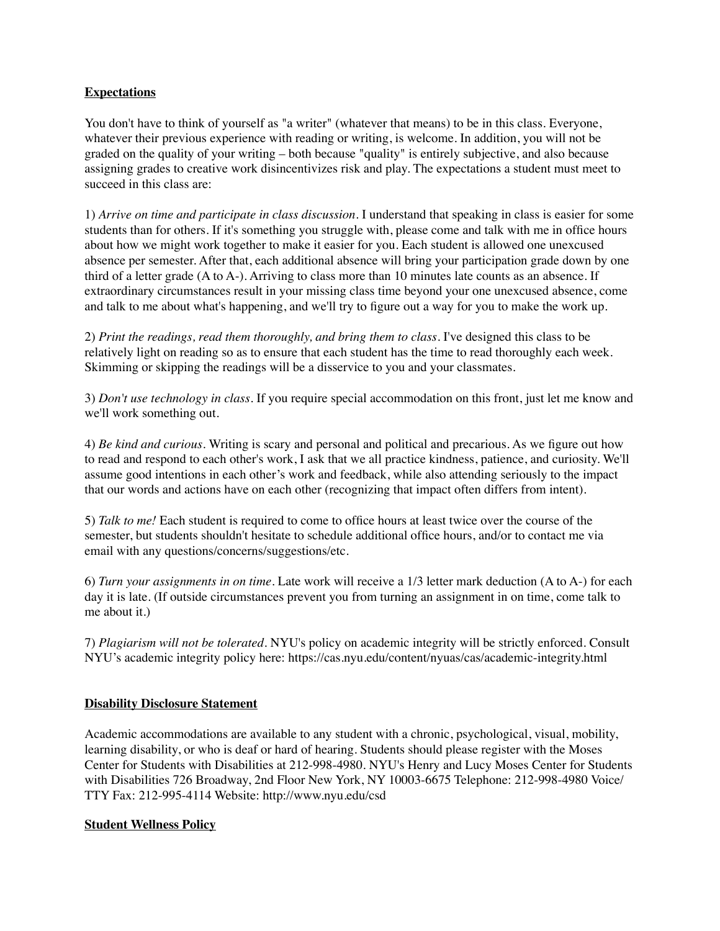# **Expectations**

You don't have to think of yourself as "a writer" (whatever that means) to be in this class. Everyone, whatever their previous experience with reading or writing, is welcome. In addition, you will not be graded on the quality of your writing – both because "quality" is entirely subjective, and also because assigning grades to creative work disincentivizes risk and play. The expectations a student must meet to succeed in this class are:

1) *Arrive on time and participate in class discussion.* I understand that speaking in class is easier for some students than for others. If it's something you struggle with, please come and talk with me in office hours about how we might work together to make it easier for you. Each student is allowed one unexcused absence per semester. After that, each additional absence will bring your participation grade down by one third of a letter grade (A to A-). Arriving to class more than 10 minutes late counts as an absence. If extraordinary circumstances result in your missing class time beyond your one unexcused absence, come and talk to me about what's happening, and we'll try to figure out a way for you to make the work up.

2) *Print the readings, read them thoroughly, and bring them to class*. I've designed this class to be relatively light on reading so as to ensure that each student has the time to read thoroughly each week. Skimming or skipping the readings will be a disservice to you and your classmates.

3) *Don't use technology in class.* If you require special accommodation on this front, just let me know and we'll work something out.

4) *Be kind and curious.* Writing is scary and personal and political and precarious. As we figure out how to read and respond to each other's work, I ask that we all practice kindness, patience, and curiosity. We'll assume good intentions in each other's work and feedback, while also attending seriously to the impact that our words and actions have on each other (recognizing that impact often differs from intent).

5) *Talk to me!* Each student is required to come to office hours at least twice over the course of the semester, but students shouldn't hesitate to schedule additional office hours, and/or to contact me via email with any questions/concerns/suggestions/etc.

6) *Turn your assignments in on time.* Late work will receive a 1/3 letter mark deduction (A to A-) for each day it is late. (If outside circumstances prevent you from turning an assignment in on time, come talk to me about it.)

7) *Plagiarism will not be tolerated.* NYU's policy on academic integrity will be strictly enforced. Consult NYU's academic integrity policy here: https://cas.nyu.edu/content/nyuas/cas/academic-integrity.html

# **Disability Disclosure Statement**

Academic accommodations are available to any student with a chronic, psychological, visual, mobility, learning disability, or who is deaf or hard of hearing. Students should please register with the Moses Center for Students with Disabilities at 212-998-4980. NYU's Henry and Lucy Moses Center for Students with Disabilities 726 Broadway, 2nd Floor New York, NY 10003-6675 Telephone: 212-998-4980 Voice/ TTY Fax: 212-995-4114 Website: http://www.nyu.edu/csd

# **Student Wellness Policy**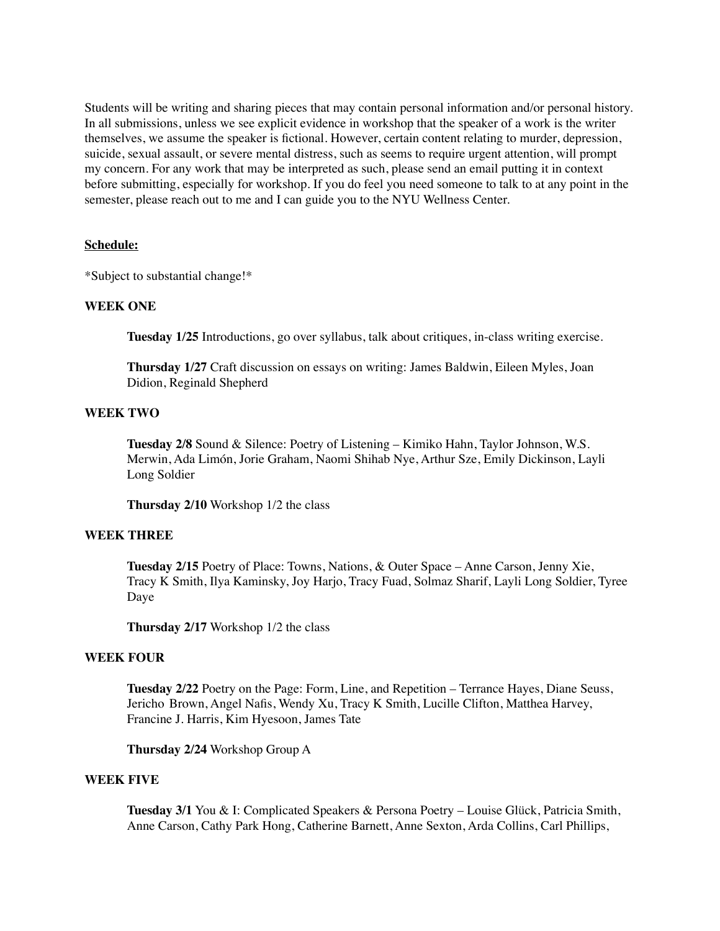Students will be writing and sharing pieces that may contain personal information and/or personal history. In all submissions, unless we see explicit evidence in workshop that the speaker of a work is the writer themselves, we assume the speaker is fictional. However, certain content relating to murder, depression, suicide, sexual assault, or severe mental distress, such as seems to require urgent attention, will prompt my concern. For any work that may be interpreted as such, please send an email putting it in context before submitting, especially for workshop. If you do feel you need someone to talk to at any point in the semester, please reach out to me and I can guide you to the NYU Wellness Center.

## **Schedule:**

\*Subject to substantial change!\*

## **WEEK ONE**

**Tuesday 1/25** Introductions, go over syllabus, talk about critiques, in-class writing exercise.

**Thursday 1/27** Craft discussion on essays on writing: James Baldwin, Eileen Myles, Joan Didion, Reginald Shepherd

# **WEEK TWO**

**Tuesday 2/8** Sound & Silence: Poetry of Listening – Kimiko Hahn, Taylor Johnson, W.S. Merwin, Ada Limón, Jorie Graham, Naomi Shihab Nye, Arthur Sze, Emily Dickinson, Layli Long Soldier

**Thursday 2/10** Workshop 1/2 the class

#### **WEEK THREE**

**Tuesday 2/15** Poetry of Place: Towns, Nations, & Outer Space – Anne Carson, Jenny Xie, Tracy K Smith, Ilya Kaminsky, Joy Harjo, Tracy Fuad, Solmaz Sharif, Layli Long Soldier, Tyree Daye

**Thursday 2/17** Workshop 1/2 the class

#### **WEEK FOUR**

**Tuesday 2/22** Poetry on the Page: Form, Line, and Repetition – Terrance Hayes, Diane Seuss, Jericho Brown, Angel Nafis, Wendy Xu, Tracy K Smith, Lucille Clifton, Matthea Harvey, Francine J. Harris, Kim Hyesoon, James Tate

**Thursday 2/24** Workshop Group A

#### **WEEK FIVE**

**Tuesday 3/1** You & I: Complicated Speakers & Persona Poetry – Louise Glück, Patricia Smith, Anne Carson, Cathy Park Hong, Catherine Barnett, Anne Sexton, Arda Collins, Carl Phillips,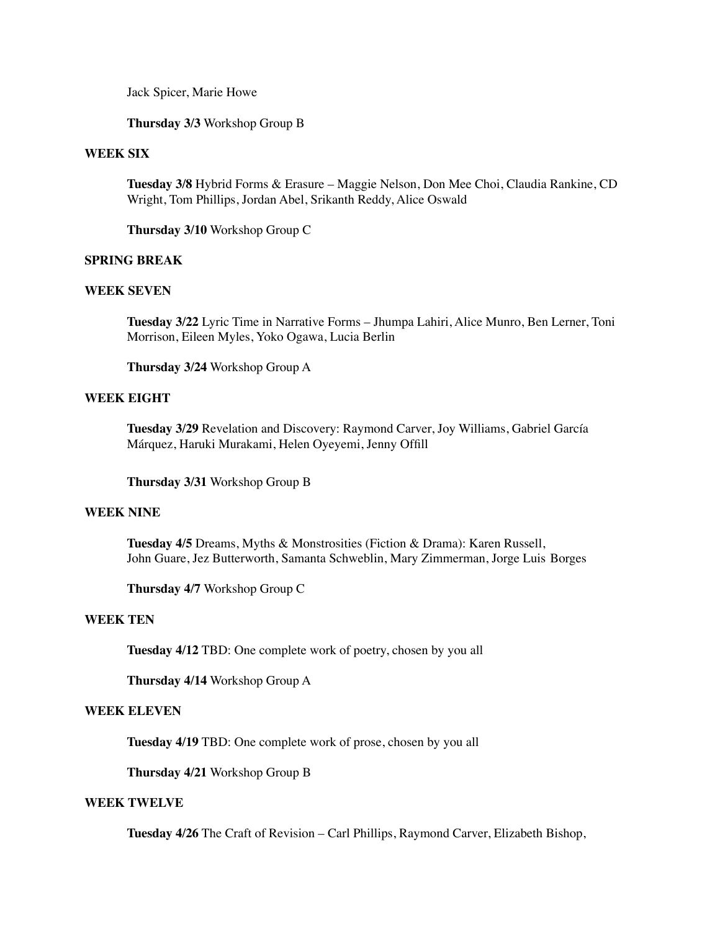Jack Spicer, Marie Howe

**Thursday 3/3** Workshop Group B

#### **WEEK SIX**

**Tuesday 3/8** Hybrid Forms & Erasure – Maggie Nelson, Don Mee Choi, Claudia Rankine, CD Wright, Tom Phillips, Jordan Abel, Srikanth Reddy, Alice Oswald

**Thursday 3/10** Workshop Group C

## **SPRING BREAK**

## **WEEK SEVEN**

**Tuesday 3/22** Lyric Time in Narrative Forms – Jhumpa Lahiri, Alice Munro, Ben Lerner, Toni Morrison, Eileen Myles, Yoko Ogawa, Lucia Berlin

**Thursday 3/24** Workshop Group A

#### **WEEK EIGHT**

**Tuesday 3/29** Revelation and Discovery: Raymond Carver, Joy Williams, Gabriel García Márquez, Haruki Murakami, Helen Oyeyemi, Jenny Offill

**Thursday 3/31** Workshop Group B

## **WEEK NINE**

**Tuesday 4/5** Dreams, Myths & Monstrosities (Fiction & Drama): Karen Russell, John Guare, Jez Butterworth, Samanta Schweblin, Mary Zimmerman, Jorge Luis Borges

**Thursday 4/7** Workshop Group C

# **WEEK TEN**

**Tuesday 4/12** TBD: One complete work of poetry, chosen by you all

**Thursday 4/14** Workshop Group A

## **WEEK ELEVEN**

**Tuesday 4/19** TBD: One complete work of prose, chosen by you all

**Thursday 4/21** Workshop Group B

## **WEEK TWELVE**

**Tuesday 4/26** The Craft of Revision – Carl Phillips, Raymond Carver, Elizabeth Bishop,